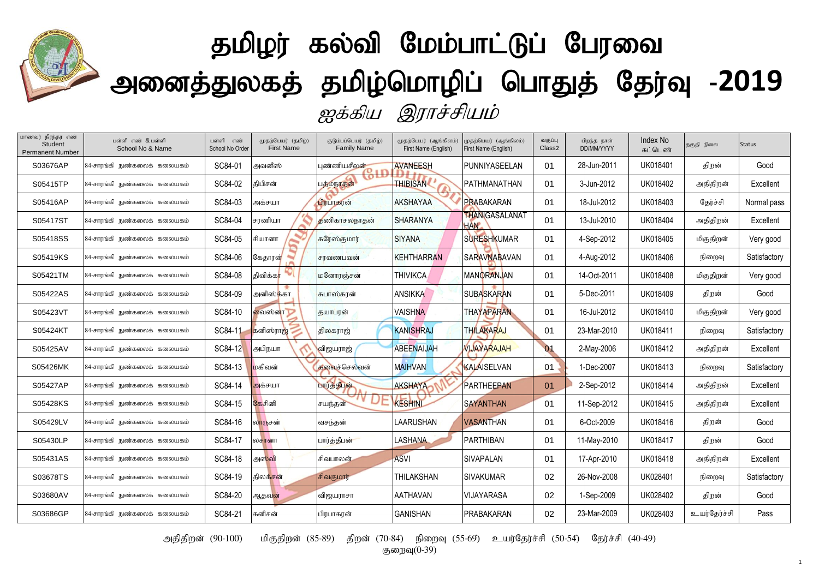

## தமிழர் கல்வி மேம்பாட்டுப் பேரவை <mark>வ</mark>ி அனைத்துலகத் தமிழ்மொழிப் பொதுத் தேர்வு -2019 ஐக்கிய இராச்சியம்

| மாணவர் நிரந்தர எண்<br>Student<br><b>Permanent Number</b> | பள்ளி எண் & பள்ளி<br>School No & Name | பள்ளி<br>எண்<br>School No Order | முதற்பெயர் (தமிழ்)<br><b>First Name</b> | குடும்பப்பெயர் (தமிழ்)<br><b>Family Name</b> | (மதற்பெயர் (ஆங்கிலம்)<br>First Name (English) | முதற்பெயர் (ஆங்கிலம்)<br>First Name (English) | வகுப்பு<br>Class <sub>2</sub> | பிறந்த நாள்<br>DD/MM/YYYY | <b>Index No</b><br>சுட்டெண் | தகுதி நிலை   | <b>Status</b> |
|----------------------------------------------------------|---------------------------------------|---------------------------------|-----------------------------------------|----------------------------------------------|-----------------------------------------------|-----------------------------------------------|-------------------------------|---------------------------|-----------------------------|--------------|---------------|
| S03676AP                                                 | 84-சாரங்கி நுண்கலைக் கலையகம்          | SC84-01                         | அவனீஸ்                                  | புண்ணியசீலன்                                 | <b>AVANEESH</b>                               | PUNNIYASEELAN                                 | 01                            | 28-Jun-2011               | UK018401                    | திறன்        | Good          |
| S05415TP                                                 | 84-சாரங்கி நுண்கலைக் கலையகம்          | SC84-02                         | கிபிசன்                                 | <b>O</b><br>பத்மநாதன்                        | <b>THIBISAN</b>                               | PATHMANATHAN                                  | 01                            | 3-Jun-2012                | UK018402                    | அதிதிறன்     | Excellent     |
| S05416AP                                                 | 84-சாரங்கி நுண்கலைக் கலையகம்          | SC84-03                         | அக்சயா                                  | பிரபாகரன்                                    | <b>AKSHAYAA</b>                               | PRABAKARAN                                    | 01                            | 18-Jul-2012               | UK018403                    | தேர்ச்சி     | Normal pass   |
| S05417ST                                                 | 84-சாரங்கி நுண்கலைக் கலையகம்          | SC84-04                         | சரணியா                                  | தணிகாசலநாதன்                                 | <b>SHARANYA</b>                               | <b>THANIGASALANAT</b><br><b>HAN</b>           | 01                            | 13-Jul-2010               | UK018404                    | அதிதிறன்     | Excellent     |
| S05418SS                                                 | 84-சாரங்கி நுண்கலைக் கலையகம்          | SC84-05                         | சியானா                                  | சுரேஸ்குமார்                                 | <b>SIYANA</b>                                 | <b>SURESHKUMAR</b>                            | 01                            | 4-Sep-2012                | UK018405                    | மிகுதிறன்    | Very good     |
| S05419KS                                                 | 84-சாரங்கி நுண்கலைக் கலையகம்          | SC84-06                         | கேதாரன்                                 | சரவணபவன்                                     | <b>KEHTHARRAN</b>                             | <b>SARAVNABAVAN</b>                           | 01                            | 4-Aug-2012                | UK018406                    | நிறைவு       | Satisfactory  |
| S05421TM                                                 | 84-சாரங்கி நுண்கலைக் கலையகம்          | SC84-08                         | திவிக்க <mark>ா</mark>                  | மனோரஞ்சன்                                    | <b>THIVIKCA</b>                               | <b>MANORANJAN</b>                             | 01                            | 14-Oct-2011               | UK018408                    | மிகுதிறன்    | Very good     |
| S05422AS                                                 | 84-சாரங்கி நுண்கலைக் கலையகம்          | SC84-09                         | அனிஸ்க்கா                               | சுபாஸ்கரன்                                   | <b>ANSIKKA</b>                                | <b>SUBASKARAN</b>                             | 01                            | 5-Dec-2011                | UK018409                    | திறன்        | Good          |
| S05423VT                                                 | 84-சாரங்கி நுண்கலைக் கலையகம்          | SC84-10                         | வைஸ்னா                                  | தயாபரன்                                      | <b>VAISHNA</b>                                | <b>THAYAPARAN</b>                             | 01                            | 16-Jul-2012               | UK018410                    | மிகுதிறன்    | Very good     |
| S05424KT                                                 | 84-சாரங்கி நுண்கலைக் கலையகம்          | SC84-11                         | கனிஸ்ராஜ்                               | திலகராஜ்                                     | <b>KANISHRAJ</b>                              | <b>THILAKARAJ</b>                             | 01                            | 23-Mar-2010               | UK018411                    | நிறைவு       | Satisfactory  |
| S05425AV                                                 | 84-சாரங்கி நுண்கலைக் கலையகம்          | SC84-12                         | அபிநயா                                  | விஜயராஜ்                                     | <b>ABEENAIJAH</b>                             | <b>VIJAYARAJAH</b>                            | 01                            | 2-May-2006                | UK018412                    | அதிதிறன்     | Excellent     |
| S05426MK                                                 | 84-சாரங்கி நுண்கலைக் கலையகம்          | SC84-13                         | மகிவன்                                  | கவைச்செல்வன்                                 | <b>MAIHVAN</b>                                | KALAISELVAN                                   | 01                            | 1-Dec-2007                | UK018413                    | நிறைவு       | Satisfactory  |
| S05427AP                                                 | 84-சாரங்கி நுண்கலைக் கலையகம்          | SC84-14                         | அக்சயா                                  | பார்த்தீபுள்                                 | <b>AKSHAYA</b>                                | <b>PARTHEEPAN</b>                             | 01                            | 2-Sep-2012                | UK018414                    | அதிதிறன்     | Excellent     |
| S05428KS                                                 | 84-சாரங்கி நுண்கலைக் கலையகம்          | SC84-15                         | கேசினி                                  | $\mathbf{v}$<br>சயந்தன்                      | <b>KESHINL</b>                                | <b>SAYANTHAN</b>                              | 01                            | 11-Sep-2012               | UK018415                    | அதிதிறன்     | Excellent     |
| S05429LV                                                 | 84-சாரங்கி நுண்கலைக் கலையகம்          | SC84-16                         | லாருசன்                                 | வசந்தன்                                      | LAARUSHAN                                     | <b>VASANTHAN</b>                              | 01                            | 6-Oct-2009                | UK018416                    | திறன்        | Good          |
| S05430LP                                                 | 84-சாரங்கி நுண்கலைக் கலையகம்          | SC84-17                         | லசானா                                   | பார்த்தீபன்                                  | LASHANA                                       | <b>PARTHIBAN</b>                              | 01                            | 11-May-2010               | UK018417                    | திறன்        | Good          |
| S05431AS                                                 | 84-சாரங்கி நுண்கலைக் கலையகம்          | SC84-18                         | அஸ்வி                                   | சிவபாலன்                                     | <b>ASVI</b>                                   | <b>SIVAPALAN</b>                              | 01                            | 17-Apr-2010               | UK018418                    | அதிதிறன்     | Excellent     |
| S03678TS                                                 | 84-சாரங்கி நுண்கலைக் கலையகம்          | SC84-19                         | திலக்சன்                                | சிவகுமார்                                    | THILAKSHAN                                    | <b>SIVAKUMAR</b>                              | 02                            | 26-Nov-2008               | UK028401                    | நிறைவு       | Satisfactory  |
| S03680AV                                                 | 84-சாரங்கி நுண்கலைக் கலையகம்          | SC84-20                         | ஆதவன்                                   | விஜயராசா                                     | <b>AATHAVAN</b>                               | <b>VIJAYARASA</b>                             | 02                            | 1-Sep-2009                | UK028402                    | திறன்        | Good          |
| S03686GP                                                 | 84-சாரங்கி நுண்கலைக் கலையகம்          | SC84-21                         | கனிசன்                                  | பிரபாகரன்                                    | <b>GANISHAN</b>                               | <b>PRABAKARAN</b>                             | 02                            | 23-Mar-2009               | UK028403                    | உயர்தேர்ச்சி | Pass          |

அதிதிறன் (90-100) மிகுதிறன் (85-89) திறன் (70-84) நிறைவு (55-69) உயர்தேர்ச்சி (50-54) தேர்ச்சி (40-49)

குறைவு $(0-39)$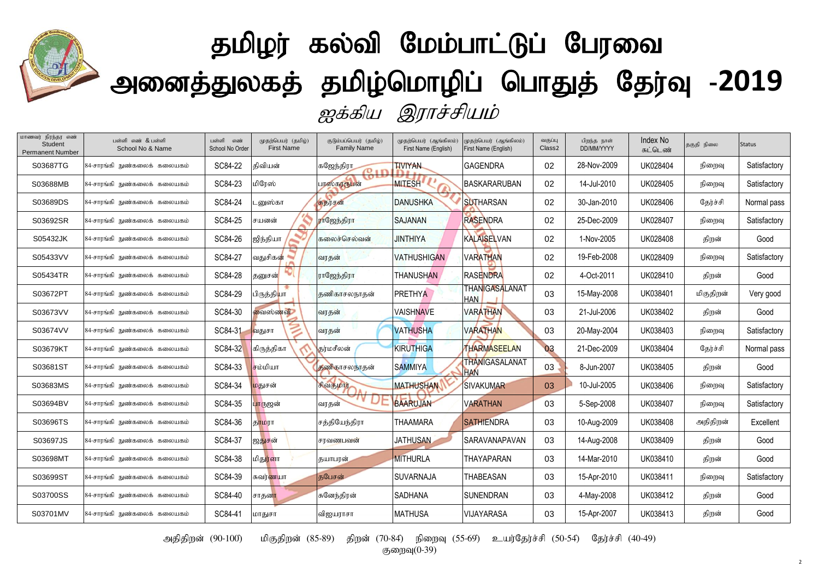

## தமிழர் கல்வி மேம்பாட்டுப் பேரவை அனைத்துலகத் தமிழ்மொழிப் பொதுத் தேர்வு -2019 ஐக்கிய இராச்சியம்

| மாணவர் நிரந்தர எண்<br>Student<br><b>Permanent Number</b> | பள்ளி எண் & பள்ளி<br>School No & Name | பள்ளி<br>எண்<br>School No Order | (முதற்பெயர் (தமிழ்)<br><b>First Name</b> | குடும்பப்பெயர் (தமிழ்)<br><b>Family Name</b> | முதற்பெயர் (ஆங்கிலம்)<br>First Name (English) | முதற்பெயர் (ஆங்கிலம்)<br>First Name (English) | வகுப்பு<br>Class <sub>2</sub> | பிறந்த நாள்<br>DD/MM/YYYY | <b>Index No</b><br>சுட்டெண் | தகுதி நிலை | <b>Status</b> |
|----------------------------------------------------------|---------------------------------------|---------------------------------|------------------------------------------|----------------------------------------------|-----------------------------------------------|-----------------------------------------------|-------------------------------|---------------------------|-----------------------------|------------|---------------|
| S03687TG                                                 | 84-சாரங்கி நுண்கலைக் கலையகம்          | SC84-22                         | கிவியன்                                  | கஜேந்திரா<br>$\sigma$ .                      | <b>TIVIYAN</b>                                | <b>IGAGENDRA</b>                              | 02                            | 28-Nov-2009               | UK028404                    | நிறைவு     | Satisfactory  |
| S03688MB                                                 | 84-சாரங்கி நுண்கலைக் கலையகம்          | SC84-23                         | மிரேஸ்                                   | w<br>பாஸ்கரரூபன்                             | <b>MITESH</b>                                 | <b>BASKARARUBAN</b>                           | 02                            | 14-Jul-2010               | UK028405                    | நிறைவு     | Satisfactory  |
| S03689DS                                                 | 84-சாரங்கி நுண்கலைக் கலையகம்          | SC84-24                         | _னுஸ்கா                                  | சுதர்சன்                                     | <b>DANUSHKA</b>                               | <b>SUTHARSAN</b>                              | 02                            | 30-Jan-2010               | UK028406                    | தேர்ச்சி   | Normal pass   |
| S03692SR                                                 | 84-சாரங்கி நுண்கலைக் கலையகம்          | SC84-25                         | சயனன்                                    | ராஜேந்திரா                                   | <b>SAJANAN</b>                                | <b>RASENDRA</b>                               | 02                            | 25-Dec-2009               | UK028407                    | நிறைவு     | Satisfactory  |
| S05432JK                                                 | 84-சாரங்கி நுண்கலைக் கலையகம்          | SC84-26                         | ஜிந்தியா                                 | கலைச்செல்வன்                                 | <b>JINTHIYA</b>                               | <b>KALAISELVAN</b>                            | 02                            | 1-Nov-2005                | UK028408                    | திறன்      | Good          |
| S05433VV                                                 | 84-சாரங்கி நுண்கலைக் கலையகம்          | SC84-27                         | வதுசிகன்                                 | வரதன்                                        | <b>VATHUSHIGAN</b>                            | <b>VARATHAN</b>                               | 02                            | 19-Feb-2008               | UK028409                    | நிறைவு     | Satisfactory  |
| S05434TR                                                 | 84-சாரங்கி நுண்கலைக் கலையகம்          | SC84-28                         | தனுசன்                                   | ராஜேந்திரா                                   | <b>THANUSHAN</b>                              | RASENDRA                                      | 02                            | 4-Oct-2011                | UK028410                    | திறன்      | Good          |
| S03672PT                                                 | 84-சாரங்கி நுண்கலைக் கலையகம்          | SC84-29                         | பிருத்தி <mark>யா</mark>                 | தணிகாசலநாதன்                                 | <b>PRETHYA</b>                                | THANIGASALANAT<br><b>HAN</b>                  | 03                            | 15-May-2008               | UK038401                    | மிகுதிறன்  | Very good     |
| S03673VV                                                 | 84-சாரங்கி நுண்கலைக் கலையகம்          | SC84-30                         | வைஸ்ணவி                                  | வரதன்                                        | <b>VAISHNAVE</b>                              | <b>VARATHAN</b>                               | 03                            | 21-Jul-2006               | UK038402                    | திறன்      | Good          |
| S03674VV                                                 | 84-சாரங்கி நுண்கலைக் கலையகம்          | SC84-31                         | வதுசா                                    | வரதன்                                        | <b>VATHUSHA</b>                               | <b>VARATHAN</b>                               | 03                            | 20-May-2004               | UK038403                    | நிறைவு     | Satisfactory  |
| S03679KT                                                 | 84-சாரங்கி நுண்கலைக் கலையகம்          | SC84-32                         | கிருத்திகா                               | தர்மசீலன்                                    | KIRUTHIGA                                     | <b>THARMASEELAN</b>                           | 03                            | 21-Dec-2009               | UK038404                    | தேர்ச்சி   | Normal pass   |
| S03681ST                                                 | 84-சாரங்கி நுண்கலைக் கலையகம்          | SC84-33                         | சம்மியா                                  | தணிகாசலநாதன்                                 | <b>SAMMIYA</b>                                | THANIGASALANAT<br><b>HAN</b>                  | 03                            | 8-Jun-2007                | UK038405                    | திறன்      | Good          |
| S03683MS                                                 | 84-சாரங்கி நுண்கலைக் கலையகம்          | SC84-34                         | மதுசன்                                   | சிவகுமார்                                    | <b>MATHUSHAN</b>                              | <b>ISIVAKUMAR</b>                             | 03                            | 10-Jul-2005               | UK038406                    | நிறைவு     | Satisfactory  |
| S03694BV                                                 | 84-சாரங்கி நுண்கலைக் கலையகம்          | SC84-35                         | பாருஜன்                                  | வரதன்                                        | <b>BAARUJAN</b>                               | <b>VARATHAN</b>                               | 03                            | 5-Sep-2008                | UK038407                    | நிறைவு     | Satisfactory  |
| S03696TS                                                 | 84-சாரங்கி நுண்கலைக் கலையகம்          | SC84-36                         | தாமரா                                    | சத்தியேந்திரா                                | <b>THAAMARA</b>                               | <b>SATHIENDRA</b>                             | 03                            | 10-Aug-2009               | UK038408                    | அதிதிறன்   | Excellent     |
| S03697JS                                                 | 84-சாரங்கி நுண்கலைக் கலையகம்          | SC84-37                         | ஐதுசன்                                   | சரவணபவன்                                     | <b>JATHUSAN</b>                               | <b>SARAVANAPAVAN</b>                          | 03                            | 14-Aug-2008               | UK038409                    | திறன்      | Good          |
| S03698MT                                                 | 84-சாரங்கி நுண்கலைக் கலையகம்          | SC84-38                         | மிது <mark>ர்ளா</mark>                   | தயாபரன்                                      | <b>MITHURLA</b>                               | <b>THAYAPARAN</b>                             | 03                            | 14-Mar-2010               | UK038410                    | திறன்      | Good          |
| S03699ST                                                 | 84-சாரங்கி நுண்கலைக் கலையகம்          | SC84-39                         | சுவர் <mark>ண</mark> யா                  | குபேசன்                                      | <b>SUVARNAJA</b>                              | <b>THABEASAN</b>                              | 03                            | 15-Apr-2010               | UK038411                    | நிறைவு     | Satisfactory  |
| S03700SS                                                 | 84-சாரங்கி நுண்கலைக் கலையகம்          | SC84-40                         | சாதனா                                    | சுனேந்திரன்                                  | <b>SADHANA</b>                                | ISUNENDRAN                                    | 03                            | 4-May-2008                | UK038412                    | திறன்      | Good          |
| S03701MV                                                 | 84-சாரங்கி நுண்கலைக் கலையகம்          | SC84-41                         | மாதுசா                                   | விஜயராசா                                     | <b>MATHUSA</b>                                | <b>VIJAYARASA</b>                             | 03                            | 15-Apr-2007               | UK038413                    | திறன்      | Good          |

அதிதிறன் (90-100) மிகுதிறன் (85-89) திறன் (70-84) நிறைவு (55-69) உயர்தேர்ச்சி (50-54) தேர்ச்சி (40-49)

குறைவு $(0-39)$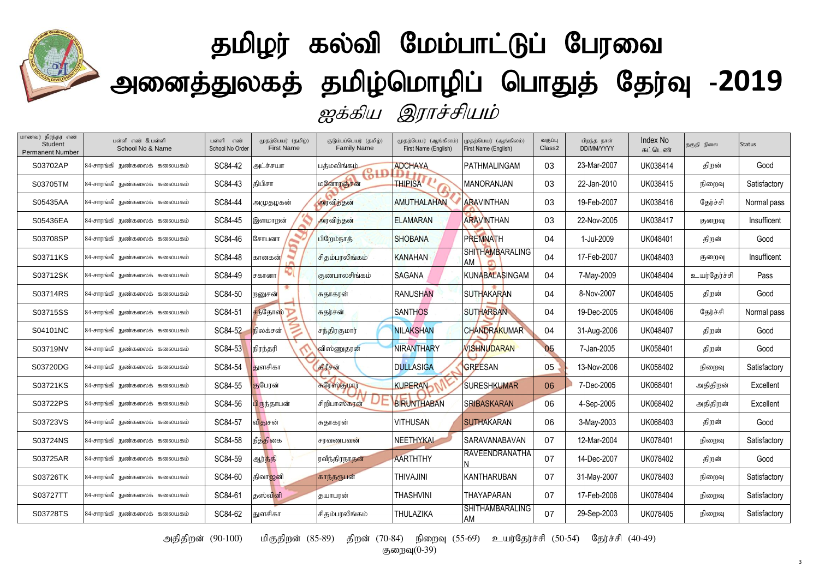

## தமிழர் கல்வி மேம்பாட்டுப் பேரவை அனைத்துலகத் தமிழ்மொழிப் பொதுத் தேர்வு -2019 ஐக்கிய இராச்சியம்

| மாணவர் நிரந்தர எண்<br>Student<br><b>Permanent Number</b> | பள்ளி எண் & பள்ளி<br>School No & Name | பள்ளி<br>எண்<br>School No Order | முதற்பெயர் (தமிழ்)<br><b>First Name</b> | குடும்பப்பெயர் (தமிழ்)<br><b>Family Name</b> | முதற்பெயர் (ஆங்கிலம்)<br>First Name (English) | (ழதற்பெயர் (ஆங்கிலம்)<br>First Name (English) | வகுப்பு<br>Class <sub>2</sub> | பிறந்த நாள்<br>DD/MM/YYYY | Index No<br>சுட்டெண் | தகுதி நிலை   | <b>Status</b> |
|----------------------------------------------------------|---------------------------------------|---------------------------------|-----------------------------------------|----------------------------------------------|-----------------------------------------------|-----------------------------------------------|-------------------------------|---------------------------|----------------------|--------------|---------------|
| S03702AP                                                 | 84-சாரங்கி நுண்கலைக் கலையகம்          | SC84-42                         | அட்ச்சயா                                | பக்மலிங்கம்<br>$\sigma$ :                    | <b>ADCHAYA</b>                                | PATHMALINGAM                                  | 03                            | 23-Mar-2007               | UK038414             | திறன்        | Good          |
| S03705TM                                                 | 84-சாரங்கி நுண்கலைக் கலையகம்          | SC84-43                         | திபிசா                                  | <b>LO</b><br><b>மனோரஞ்சன்</b>                | <b>THIPISA</b>                                | <b>MANORANJAN</b>                             | 03                            | 22-Jan-2010               | UK038415             | நிறைவு       | Satisfactory  |
| S05435AA                                                 | 84-சாரங்கி நுண்கலைக் கலையகம்          | SC84-44                         | அமுதழகன்                                | அரவிந்தன்                                    | <b>AMUTHALAHAN</b>                            | <b>ARAVINTHAN</b>                             | 03                            | 19-Feb-2007               | UK038416             | தேர்ச்சி     | Normal pass   |
| S05436EA                                                 | 84-சாரங்கி நுண்கலைக் கலையகம்          | SC84-45                         | இளமாறன்                                 | அரவிந்தன்                                    | <b>ELAMARAN</b>                               | <b>ARAVINTHAN</b>                             | 03                            | 22-Nov-2005               | UK038417             | குறைவு       | Insufficent   |
| S03708SP                                                 | 84-சாரங்கி நுண்கலைக் கலையகம்          | SC84-46                         | சோபனா                                   | பிறேம்நாத்                                   | <b>SHOBANA</b>                                | <b>PREMNATH</b>                               | 04                            | 1-Jul-2009                | UK048401             | திறன்        | Good          |
| S03711KS                                                 | 84-சாரங்கி நுண்கலைக் கலையகம்          | SC84-48                         | <b>Allege</b><br>கானகன்                 | சிகும்பரலிங்கம்                              | <b>KANAHAN</b>                                | <b>SHITHAMBARALING</b><br><b>AM</b>           | 04                            | 17-Feb-2007               | UK048403             | குறைவு       | Insufficent   |
| S03712SK                                                 | 84-சாரங்கி நுண்கலைக் கலையகம்          | SC84-49                         | சகானா                                   | குணபாலசிங்கம்                                | <b>SAGANA</b>                                 | <b>KUNABALASINGAM</b>                         | 04                            | 7-May-2009                | UK048404             | உயர்தேர்ச்சி | Pass          |
| S03714RS                                                 | 84-சாரங்கி நுண்கலைக் கலையகம்          | SC84-50                         | றனுசன்                                  | சுதாகரன்                                     | <b>RANUSHAN</b>                               | <b>SUTHAKARAN</b>                             | 04                            | 8-Nov-2007                | UK048405             | திறன்        | Good          |
| S03715SS                                                 | 84-சாரங்கி நுண்கலைக் கலையகம்          | SC84-51                         | சந்தோஸ்                                 | சுதர்சன்                                     | <b>SANTHOS</b>                                | <b>SUTHARSAN</b>                              | 04                            | 19-Dec-2005               | UK048406             | தேர்ச்சி     | Normal pass   |
| S04101NC                                                 | 84-சாரங்கி நுண்கலைக் கலையகம்          | SC84-52                         | நிலக்சன்                                | சந்திரகுமார்                                 | <b>NILAKSHAN</b>                              | <b>CHANDRAKUMAR</b>                           | 04                            | 31-Aug-2006               | UK048407             | திறன்        | Good          |
| S03719NV                                                 | 84-சாரங்கி நுண்கலைக் கலையகம்          | SC84-53                         | நிரந்தரி                                | விஸ்ணுதரன்                                   | <b>NIRANTHARY</b>                             | <b>VISHNUDARAN</b>                            | 05                            | 7-Jan-2005                | UK058401             | திறன்        | Good          |
| S03720DG                                                 | 84-சாரங்கி நுண்கலைக் கலையகம்          | SC84-54                         | துளசிகா                                 | கிரீசன்                                      | <b>DULLASIGA</b>                              | GREESAN                                       | 05                            | 13-Nov-2006               | UK058402             | நிறைவு       | Satisfactory  |
| S03721KS                                                 | 84-சாரங்கி நுண்கலைக் கலையகம்          | SC84-55                         | குபேரன்                                 | சுரேஸ்குமார்                                 | <b>KUPERAN</b>                                | <b>SURESHKUMAR</b>                            | 06                            | 7-Dec-2005                | UK068401             | அதிதிறன்     | Excellent     |
| S03722PS                                                 | 84-சாரங்கி நுண்கலைக் கலையகம்          | SC84-56                         | பிருந்தாபன்                             | சிறிபாஸ்கரன்                                 | <b>BIRUNTHABAN</b>                            | <b>SRIBASKARAN</b>                            | 06                            | 4-Sep-2005                | UK068402             | அதிதிறன்     | Excellent     |
| S03723VS                                                 | 84-சாரங்கி நுண்கலைக் கலையகம்          | SC84-57                         | விதுசன்                                 | சுதாகரன்                                     | <b>VITHUSAN</b>                               | <b>SUTHAKARAN</b>                             | 06                            | 3-May-2003                | UK068403             | திறன்        | Good          |
| S03724NS                                                 | 84-சாரங்கி நுண்கலைக் கலையகம்          | SC84-58                         | நீத்திகை                                | சரவணபவன்                                     | NEETHYKAI                                     | <b>SARAVANABAVAN</b>                          | 07                            | 12-Mar-2004               | UK078401             | நிறைவு       | Satisfactory  |
| S03725AR                                                 | 84-சாரங்கி நுண்கலைக் கலையகம்          | SC84-59                         | ஆர் <mark>த்தி</mark>                   | ரவீந்திரநாதன்                                | <b>AARTHTHY</b>                               | RAVEENDRANATHA                                | 07                            | 14-Dec-2007               | UK078402             | திறன்        | Good          |
| S03726TK                                                 | 84-சாரங்கி நுண்கலைக் கலையகம்          | SC84-60                         | திவாஜனி                                 | காந்தரூபன்                                   | <b>THIVAJINI</b>                              | <b>KANTHARUBAN</b>                            | 07                            | 31-May-2007               | UK078403             | நிறைவு       | Satisfactory  |
| S03727TT                                                 | 84-சாரங்கி நுண்கலைக் கலையகம்          | SC84-61                         | தஸ்வினி                                 | தயாபரன்                                      | <b>THASHVINI</b>                              | THAYAPARAN                                    | 07                            | 17-Feb-2006               | UK078404             | நிறைவு       | Satisfactory  |
| S03728TS                                                 | 84-சாரங்கி நுண்கலைக் கலையகம்          | SC84-62                         | துளசிகா                                 | சிதம்பரலிங்கம்                               | <b>THULAZIKA</b>                              | <b>SHITHAMBARALING</b><br>AM                  | 07                            | 29-Sep-2003               | UK078405             | நிறைவு       | Satisfactory  |

அதிதிறன் (90-100) மிகுதிறன் (85-89) திறன் (70-84) நிறைவு (55-69) உயர்தேர்ச்சி (50-54) தேர்ச்சி (40-49)

குறைவு $(0-39)$